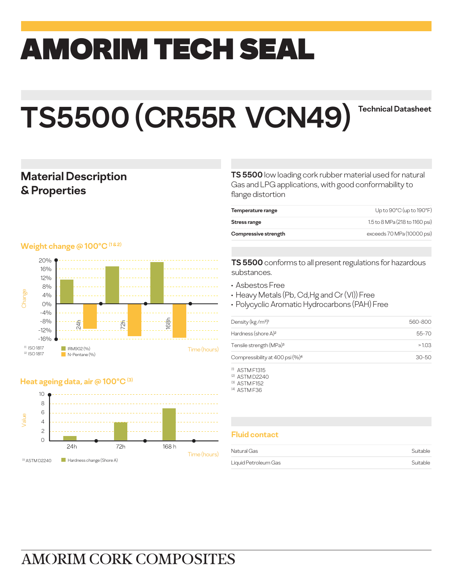# amorim TECH SEAL

## **TS5500 (CR55R VCN49) Technical Datasheet**

### **Material Description & Properties**

#### **Weight change @ 100°C** (182)



#### **Heat ageing data, air @ 100°C (3)**



**TS 5500** low loading cork rubber material used for natural Gas and LPG applications, with good conformability to flange distortion

| Up to $90^{\circ}$ C (up to $190^{\circ}$ F) |
|----------------------------------------------|
| 1.5 to 8 MPa (218 to 1160 psi)               |
| exceeds 70 MPa (10000 psi)                   |
|                                              |

**TS 5500** conforms to all present regulations for hazardous substances.

- Asbestos Free
- Heavy Metals (Pb, Cd,Hg and Cr (VI)) Free
- Polycyclic Aromatic Hydrocarbons (PAH) Free

| Density ( $kg/m3$ ) <sup>1</sup>            | 560-800   |
|---------------------------------------------|-----------|
| Hardness (shore A) <sup>2</sup>             | $55 - 70$ |
| Tensile strength (MPa) <sup>3</sup>         | >103      |
| Compressibility at 400 psi (%) <sup>4</sup> | $30 - 50$ |

(1) ASTM F1315

(2) ASTM D2240

(3) ASTM F152

(4) ASTM F36

#### **Fluid contact**

| Natural Gas          | Suitable |
|----------------------|----------|
| Liquid Petroleum Gas | Suitable |